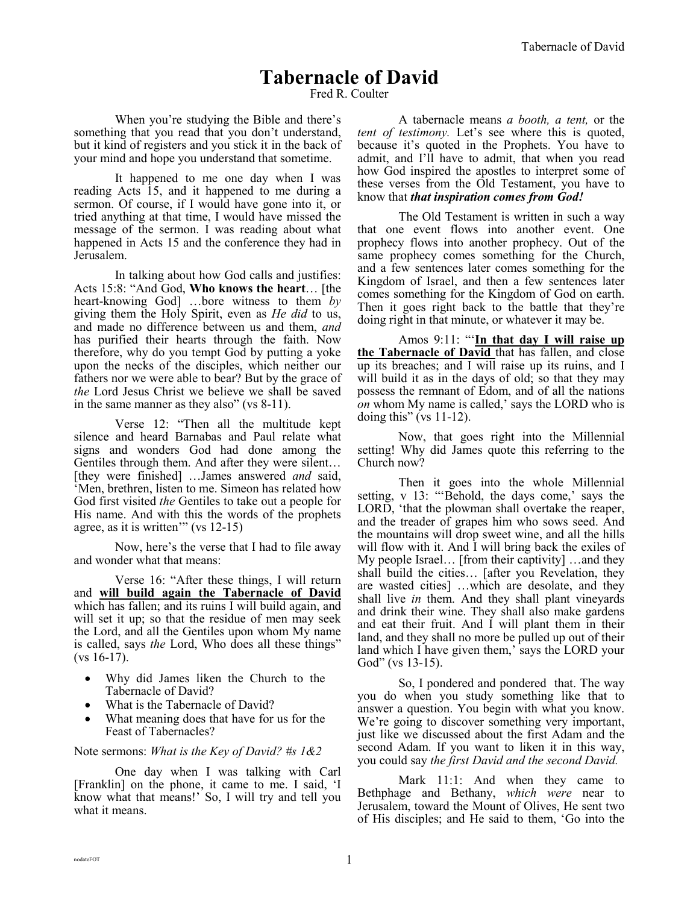## **Tabernacle of David**

Fred R. Coulter

When you're studying the Bible and there's something that you read that you don't understand, but it kind of registers and you stick it in the back of your mind and hope you understand that sometime.

It happened to me one day when I was reading Acts 15, and it happened to me during a sermon. Of course, if I would have gone into it, or tried anything at that time, I would have missed the message of the sermon. I was reading about what happened in Acts 15 and the conference they had in Jerusalem.

In talking about how God calls and justifies: Acts 15:8: "And God, **Who knows the heart**… [the heart-knowing God] …bore witness to them *by* giving them the Holy Spirit, even as *He did* to us, and made no difference between us and them, *and* has purified their hearts through the faith. Now therefore, why do you tempt God by putting a yoke upon the necks of the disciples, which neither our fathers nor we were able to bear? But by the grace of *the* Lord Jesus Christ we believe we shall be saved in the same manner as they also" (vs 8-11).

Verse 12: "Then all the multitude kept silence and heard Barnabas and Paul relate what signs and wonders God had done among the Gentiles through them. And after they were silent… [they were finished] …James answered *and* said, 'Men, brethren, listen to me. Simeon has related how God first visited *the* Gentiles to take out a people for His name. And with this the words of the prophets agree, as it is written'" (vs 12-15)

Now, here's the verse that I had to file away and wonder what that means:

Verse 16: "After these things, I will return and **will build again the Tabernacle of David** which has fallen; and its ruins I will build again, and will set it up; so that the residue of men may seek the Lord, and all the Gentiles upon whom My name is called, says *the* Lord, Who does all these things"  $(vs 16-17)$ .

- Why did James liken the Church to the Tabernacle of David?
- What is the Tabernacle of David?
- What meaning does that have for us for the Feast of Tabernacles?

Note sermons: *What is the Key of David? #s 1&2*

One day when I was talking with Carl [Franklin] on the phone, it came to me. I said, 'I know what that means!' So, I will try and tell you what it means.

A tabernacle means *a booth, a tent,* or the *tent of testimony.* Let's see where this is quoted, because it's quoted in the Prophets. You have to admit, and I'll have to admit, that when you read how God inspired the apostles to interpret some of these verses from the Old Testament, you have to know that *that inspiration comes from God!*

The Old Testament is written in such a way that one event flows into another event. One prophecy flows into another prophecy. Out of the same prophecy comes something for the Church, and a few sentences later comes something for the Kingdom of Israel, and then a few sentences later comes something for the Kingdom of God on earth. Then it goes right back to the battle that they're doing right in that minute, or whatever it may be.

Amos 9:11: "'**In that day I will raise up the Tabernacle of David** that has fallen, and close up its breaches; and I will raise up its ruins, and I will build it as in the days of old; so that they may possess the remnant of Edom, and of all the nations *on* whom My name is called,' says the LORD who is doing this" (vs  $11-12$ ).

Now, that goes right into the Millennial setting! Why did James quote this referring to the Church now?

Then it goes into the whole Millennial setting, v 13: "'Behold, the days come,' says the LORD, 'that the plowman shall overtake the reaper, and the treader of grapes him who sows seed. And the mountains will drop sweet wine, and all the hills will flow with it. And I will bring back the exiles of My people Israel… [from their captivity] …and they shall build the cities… [after you Revelation, they are wasted cities] …which are desolate, and they shall live *in* them. And they shall plant vineyards and drink their wine. They shall also make gardens and eat their fruit. And I will plant them in their land, and they shall no more be pulled up out of their land which I have given them,' says the LORD your God" (vs 13-15).

So, I pondered and pondered that. The way you do when you study something like that to answer a question. You begin with what you know. We're going to discover something very important, just like we discussed about the first Adam and the second Adam. If you want to liken it in this way, you could say *the first David and the second David.*

Mark 11:1: And when they came to Bethphage and Bethany, *which were* near to Jerusalem, toward the Mount of Olives, He sent two of His disciples; and He said to them, 'Go into the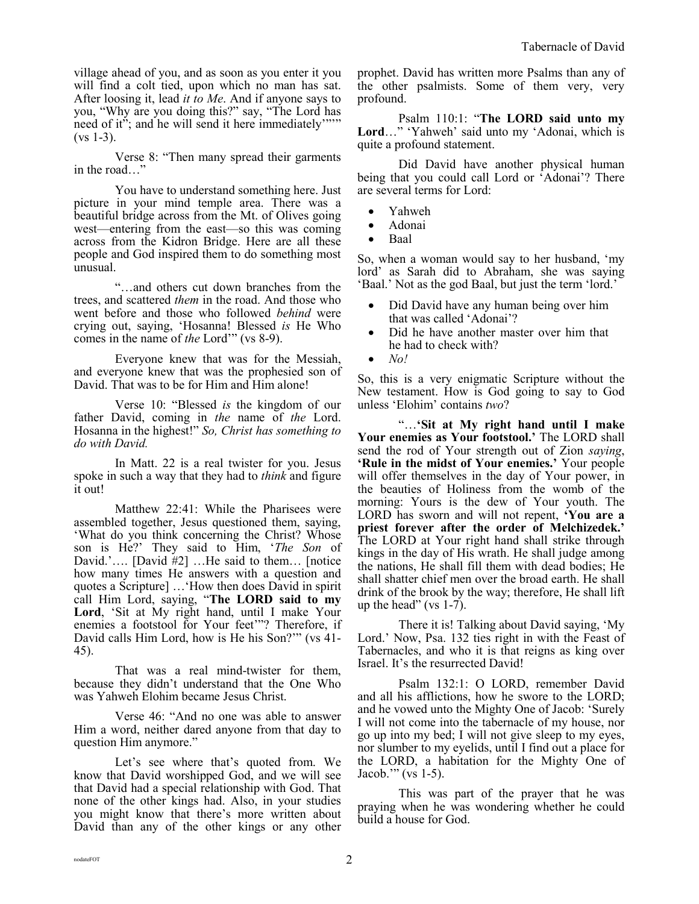village ahead of you, and as soon as you enter it you will find a colt tied, upon which no man has sat. After loosing it, lead *it to Me*. And if anyone says to you, "Why are you doing this?" say, "The Lord has need of it"; and he will send it here immediately"""  $(vs 1-3)$ .

Verse 8: "Then many spread their garments in the road…"

You have to understand something here. Just picture in your mind temple area. There was a beautiful bridge across from the Mt. of Olives going west—entering from the east—so this was coming across from the Kidron Bridge. Here are all these people and God inspired them to do something most unusual.

"…and others cut down branches from the trees, and scattered *them* in the road. And those who went before and those who followed *behind* were crying out, saying, 'Hosanna! Blessed *is* He Who comes in the name of *the* Lord'" (vs 8-9).

Everyone knew that was for the Messiah, and everyone knew that was the prophesied son of David. That was to be for Him and Him alone!

Verse 10: "Blessed *is* the kingdom of our father David, coming in *the* name of *the* Lord. Hosanna in the highest!" *So, Christ has something to do with David.* 

In Matt. 22 is a real twister for you. Jesus spoke in such a way that they had to *think* and figure it out!

Matthew 22:41: While the Pharisees were assembled together, Jesus questioned them, saying, 'What do you think concerning the Christ? Whose son is He?' They said to Him, '*The Son* of David.'…. [David #2] …He said to them… [notice how many times He answers with a question and quotes a Scripture] …'How then does David in spirit call Him Lord, saying, "**The LORD said to my Lord**, 'Sit at My right hand, until I make Your enemies a footstool for Your feet'"? Therefore, if David calls Him Lord, how is He his Son?'" (vs 41- 45).

That was a real mind-twister for them, because they didn't understand that the One Who was Yahweh Elohim became Jesus Christ.

Verse 46: "And no one was able to answer Him a word, neither dared anyone from that day to question Him anymore."

Let's see where that's quoted from. We know that David worshipped God, and we will see that David had a special relationship with God. That none of the other kings had. Also, in your studies you might know that there's more written about David than any of the other kings or any other prophet. David has written more Psalms than any of the other psalmists. Some of them very, very profound.

Psalm 110:1: "**The LORD said unto my Lord**…" 'Yahweh' said unto my 'Adonai, which is quite a profound statement.

Did David have another physical human being that you could call Lord or 'Adonai'? There are several terms for Lord:

- Yahweh
- Adonai
- Baal

So, when a woman would say to her husband, 'my lord' as Sarah did to Abraham, she was saying 'Baal.' Not as the god Baal, but just the term 'lord.'

- Did David have any human being over him that was called 'Adonai'?
- Did he have another master over him that he had to check with?
- *No!*

So, this is a very enigmatic Scripture without the New testament. How is God going to say to God unless 'Elohim' contains *two*?

"…**'Sit at My right hand until I make Your enemies as Your footstool.'** The LORD shall send the rod of Your strength out of Zion *saying*, **'Rule in the midst of Your enemies.'** Your people will offer themselves in the day of Your power, in the beauties of Holiness from the womb of the morning: Yours is the dew of Your youth. The LORD has sworn and will not repent, **'You are a priest forever after the order of Melchizedek.'** The LORD at Your right hand shall strike through kings in the day of His wrath. He shall judge among the nations, He shall fill them with dead bodies; He shall shatter chief men over the broad earth. He shall drink of the brook by the way; therefore, He shall lift up the head" (vs  $1-7$ ).

There it is! Talking about David saying, 'My Lord.' Now, Psa. 132 ties right in with the Feast of Tabernacles, and who it is that reigns as king over Israel. It's the resurrected David!

Psalm 132:1: O LORD, remember David and all his afflictions, how he swore to the LORD; and he vowed unto the Mighty One of Jacob: 'Surely I will not come into the tabernacle of my house, nor go up into my bed; I will not give sleep to my eyes, nor slumber to my eyelids, until I find out a place for the LORD, a habitation for the Mighty One of Jacob.'" (vs 1-5).

This was part of the prayer that he was praying when he was wondering whether he could build a house for God.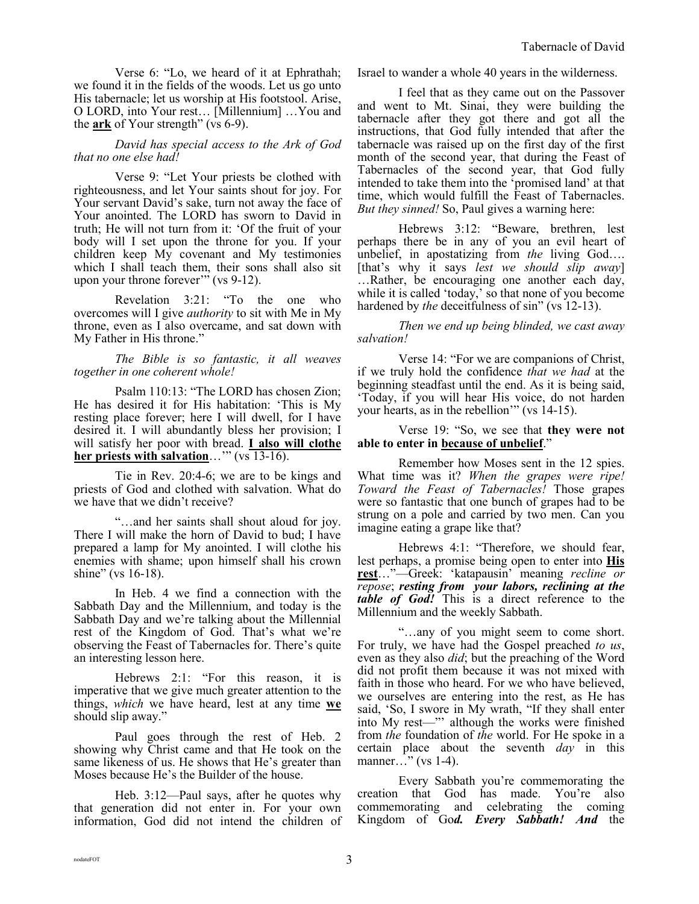Verse 6: "Lo, we heard of it at Ephrathah; we found it in the fields of the woods. Let us go unto His tabernacle; let us worship at His footstool. Arise, O LORD, into Your rest… [Millennium] …You and the **ark** of Your strength" (vs 6-9).

## *David has special access to the Ark of God that no one else had!*

Verse 9: "Let Your priests be clothed with righteousness, and let Your saints shout for joy. For Your servant David's sake, turn not away the face of Your anointed. The LORD has sworn to David in truth; He will not turn from it: 'Of the fruit of your body will I set upon the throne for you. If your children keep My covenant and My testimonies which I shall teach them, their sons shall also sit upon your throne forever'" (vs 9-12).

Revelation 3:21: "To the one who overcomes will I give *authority* to sit with Me in My throne, even as I also overcame, and sat down with My Father in His throne."

*The Bible is so fantastic, it all weaves together in one coherent whole!*

Psalm 110:13: "The LORD has chosen Zion; He has desired it for His habitation: 'This is My resting place forever; here I will dwell, for I have desired it. I will abundantly bless her provision; I will satisfy her poor with bread. **I also will clothe her priests with salvation**…'" (vs 13-16).

Tie in Rev. 20:4-6; we are to be kings and priests of God and clothed with salvation. What do we have that we didn't receive?

"…and her saints shall shout aloud for joy. There I will make the horn of David to bud; I have prepared a lamp for My anointed. I will clothe his enemies with shame; upon himself shall his crown shine" (vs 16-18).

In Heb. 4 we find a connection with the Sabbath Day and the Millennium, and today is the Sabbath Day and we're talking about the Millennial rest of the Kingdom of God. That's what we're observing the Feast of Tabernacles for. There's quite an interesting lesson here.

Hebrews 2:1: "For this reason, it is imperative that we give much greater attention to the things, *which* we have heard, lest at any time **we** should slip away."

Paul goes through the rest of Heb. 2 showing why Christ came and that He took on the same likeness of us. He shows that He's greater than Moses because He's the Builder of the house.

Heb. 3:12—Paul says, after he quotes why that generation did not enter in. For your own information, God did not intend the children of Israel to wander a whole 40 years in the wilderness.

I feel that as they came out on the Passover and went to Mt. Sinai, they were building the tabernacle after they got there and got all the instructions, that God fully intended that after the tabernacle was raised up on the first day of the first month of the second year, that during the Feast of Tabernacles of the second year, that God fully intended to take them into the 'promised land' at that time, which would fulfill the Feast of Tabernacles. *But they sinned!* So, Paul gives a warning here:

Hebrews 3:12: "Beware, brethren, lest perhaps there be in any of you an evil heart of unbelief, in apostatizing from *the* living God…. [that's why it says *lest we should slip away*] …Rather, be encouraging one another each day, while it is called 'today,' so that none of you become hardened by *the* deceitfulness of sin" (vs 12-13).

*Then we end up being blinded, we cast away salvation!* 

Verse 14: "For we are companions of Christ, if we truly hold the confidence *that we had* at the beginning steadfast until the end. As it is being said, 'Today, if you will hear His voice, do not harden your hearts, as in the rebellion'" (vs 14-15).

Verse 19: "So, we see that **they were not able to enter in because of unbelief**."

Remember how Moses sent in the 12 spies. What time was it? *When the grapes were ripe! Toward the Feast of Tabernacles!* Those grapes were so fantastic that one bunch of grapes had to be strung on a pole and carried by two men. Can you imagine eating a grape like that?

Hebrews 4:1: "Therefore, we should fear, lest perhaps, a promise being open to enter into **His rest**…"—Greek: 'katapausin' meaning *recline or repose*; *resting from your labors, reclining at the table of God!* This is a direct reference to the Millennium and the weekly Sabbath.

"…any of you might seem to come short. For truly, we have had the Gospel preached *to us*, even as they also *did*; but the preaching of the Word did not profit them because it was not mixed with faith in those who heard. For we who have believed, we ourselves are entering into the rest, as He has said, 'So, I swore in My wrath, "If they shall enter into My rest—"' although the works were finished from *the* foundation of *the* world. For He spoke in a certain place about the seventh *day* in this manner..." (vs 1-4).

Every Sabbath you're commemorating the creation that God has made. You're also commemorating and celebrating the coming Kingdom of Go*d. Every Sabbath! And* the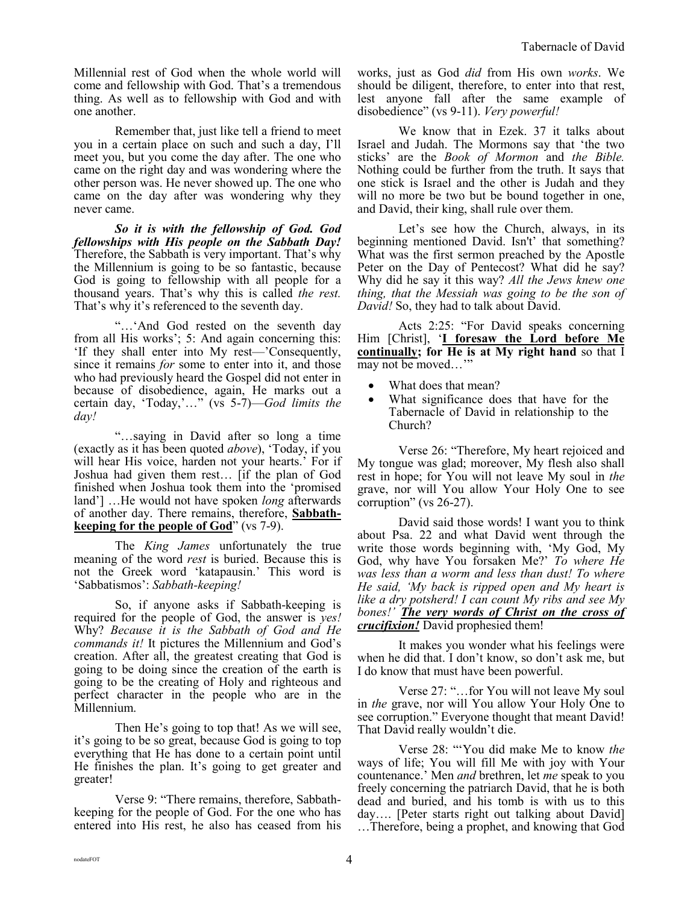Millennial rest of God when the whole world will come and fellowship with God. That's a tremendous thing. As well as to fellowship with God and with one another.

Remember that, just like tell a friend to meet you in a certain place on such and such a day, I'll meet you, but you come the day after. The one who came on the right day and was wondering where the other person was. He never showed up. The one who came on the day after was wondering why they never came.

*So it is with the fellowship of God. God fellowships with His people on the Sabbath Day!* Therefore, the Sabbath is very important. That's why the Millennium is going to be so fantastic, because God is going to fellowship with all people for a thousand years. That's why this is called *the rest.* That's why it's referenced to the seventh day.

"…'And God rested on the seventh day from all His works'; 5: And again concerning this: 'If they shall enter into My rest—'Consequently, since it remains *for* some to enter into it, and those who had previously heard the Gospel did not enter in because of disobedience, again, He marks out a certain day, 'Today,'…" (vs 5-7)—*God limits the day!*

"…saying in David after so long a time (exactly as it has been quoted *above*), 'Today, if you will hear His voice, harden not your hearts.' For if Joshua had given them rest… [if the plan of God finished when Joshua took them into the 'promised land'] …He would not have spoken *long* afterwards of another day. There remains, therefore, **Sabbathkeeping for the people of God**" (vs 7-9).

The *King James* unfortunately the true meaning of the word *rest* is buried. Because this is not the Greek word 'katapausin.' This word is 'Sabbatismos': *Sabbath-keeping!*

So, if anyone asks if Sabbath-keeping is required for the people of God, the answer is *yes!* Why? *Because it is the Sabbath of God and He commands it!* It pictures the Millennium and God's creation. After all, the greatest creating that God is going to be doing since the creation of the earth is going to be the creating of Holy and righteous and perfect character in the people who are in the Millennium.

Then He's going to top that! As we will see, it's going to be so great, because God is going to top everything that He has done to a certain point until He finishes the plan. It's going to get greater and greater!

Verse 9: "There remains, therefore, Sabbathkeeping for the people of God. For the one who has entered into His rest, he also has ceased from his works, just as God *did* from His own *works*. We should be diligent, therefore, to enter into that rest, lest anyone fall after the same example of disobedience" (vs 9-11). *Very powerful!*

We know that in Ezek. 37 it talks about Israel and Judah. The Mormons say that 'the two sticks' are the *Book of Mormon* and *the Bible.* Nothing could be further from the truth. It says that one stick is Israel and the other is Judah and they will no more be two but be bound together in one, and David, their king, shall rule over them.

Let's see how the Church, always, in its beginning mentioned David. Isn't' that something? What was the first sermon preached by the Apostle Peter on the Day of Pentecost? What did he say? Why did he say it this way? *All the Jews knew one thing, that the Messiah was going to be the son of David!* So, they had to talk about David.

Acts 2:25: "For David speaks concerning Him [Christ], '**I foresaw the Lord before Me continually; for He is at My right hand** so that I may not be moved…'"

- What does that mean?
- What significance does that have for the Tabernacle of David in relationship to the Church?

Verse 26: "Therefore, My heart rejoiced and My tongue was glad; moreover, My flesh also shall rest in hope; for You will not leave My soul in *the* grave, nor will You allow Your Holy One to see corruption" (vs 26-27).

David said those words! I want you to think about Psa. 22 and what David went through the write those words beginning with, 'My God, My God, why have You forsaken Me?' *To where He was less than a worm and less than dust! To where He said, 'My back is ripped open and My heart is like a dry potsherd! I can count My ribs and see My bones!' The very words of Christ on the cross of crucifixion!* David prophesied them!

It makes you wonder what his feelings were when he did that. I don't know, so don't ask me, but I do know that must have been powerful.

Verse 27: "…for You will not leave My soul in *the* grave, nor will You allow Your Holy One to see corruption." Everyone thought that meant David! That David really wouldn't die.

Verse 28: "'You did make Me to know *the* ways of life; You will fill Me with joy with Your countenance.' Men *and* brethren, let *me* speak to you freely concerning the patriarch David, that he is both dead and buried, and his tomb is with us to this day…. [Peter starts right out talking about David] …Therefore, being a prophet, and knowing that God

 $_{\rm nodateFOT}$  4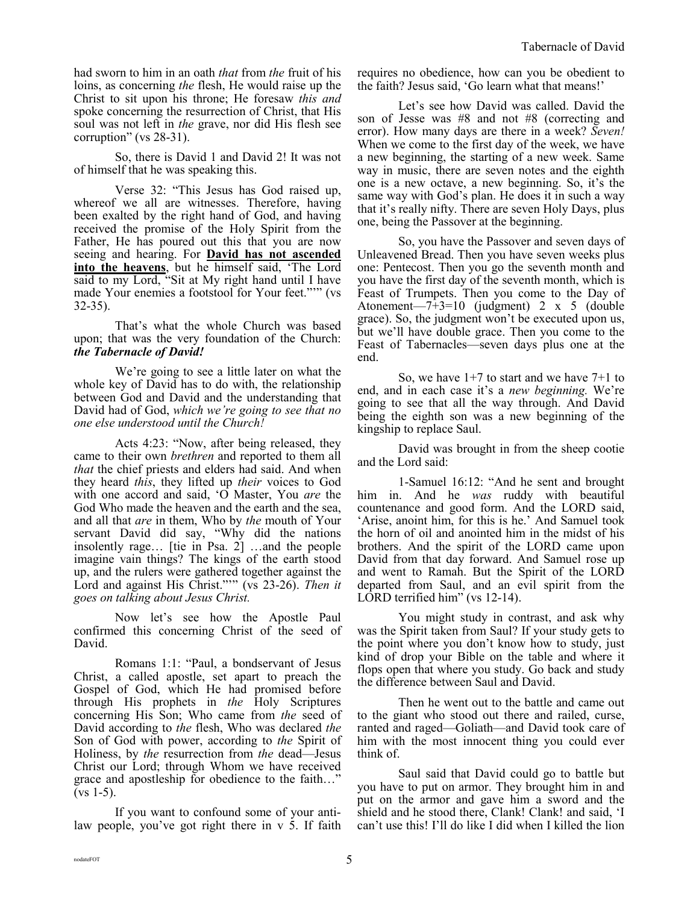had sworn to him in an oath *that* from *the* fruit of his loins, as concerning *the* flesh, He would raise up the Christ to sit upon his throne; He foresaw *this and* spoke concerning the resurrection of Christ, that His soul was not left in *the* grave, nor did His flesh see corruption" (vs 28-31).

So, there is David 1 and David 2! It was not of himself that he was speaking this.

Verse 32: "This Jesus has God raised up, whereof we all are witnesses. Therefore, having been exalted by the right hand of God, and having received the promise of the Holy Spirit from the Father, He has poured out this that you are now seeing and hearing. For **David has not ascended into the heavens**, but he himself said, 'The Lord said to my Lord, "Sit at My right hand until I have made Your enemies a footstool for Your feet."'" (vs 32-35).

That's what the whole Church was based upon; that was the very foundation of the Church: *the Tabernacle of David!*

We're going to see a little later on what the whole key of David has to do with, the relationship between God and David and the understanding that David had of God, *which we're going to see that no one else understood until the Church!*

Acts 4:23: "Now, after being released, they came to their own *brethren* and reported to them all *that* the chief priests and elders had said. And when they heard *this*, they lifted up *their* voices to God with one accord and said, 'O Master, You *are* the God Who made the heaven and the earth and the sea, and all that *are* in them, Who by *the* mouth of Your servant David did say, "Why did the nations insolently rage… [tie in Psa. 2] …and the people imagine vain things? The kings of the earth stood up, and the rulers were gathered together against the Lord and against His Christ."'" (vs 23-26). *Then it goes on talking about Jesus Christ.*

Now let's see how the Apostle Paul confirmed this concerning Christ of the seed of David.

Romans 1:1: "Paul, a bondservant of Jesus Christ, a called apostle, set apart to preach the Gospel of God, which He had promised before through His prophets in *the* Holy Scriptures concerning His Son; Who came from *the* seed of David according to *the* flesh, Who was declared *the* Son of God with power, according to *the* Spirit of Holiness, by *the* resurrection from *the* dead—Jesus Christ our Lord; through Whom we have received grace and apostleship for obedience to the faith…"  $(vs 1-5)$ .

If you want to confound some of your antilaw people, you've got right there in v 5. If faith requires no obedience, how can you be obedient to the faith? Jesus said, 'Go learn what that means!'

Let's see how David was called. David the son of Jesse was #8 and not #8 (correcting and error). How many days are there in a week? *Seven!* When we come to the first day of the week, we have a new beginning, the starting of a new week. Same way in music, there are seven notes and the eighth one is a new octave, a new beginning. So, it's the same way with God's plan. He does it in such a way that it's really nifty. There are seven Holy Days, plus one, being the Passover at the beginning.

So, you have the Passover and seven days of Unleavened Bread. Then you have seven weeks plus one: Pentecost. Then you go the seventh month and you have the first day of the seventh month, which is Feast of Trumpets. Then you come to the Day of Atonement—7+3=10 (judgment) 2 x 5 (double grace). So, the judgment won't be executed upon us, but we'll have double grace. Then you come to the Feast of Tabernacles—seven days plus one at the end.

So, we have  $1+7$  to start and we have  $7+1$  to end, and in each case it's a *new beginning.* We're going to see that all the way through. And David being the eighth son was a new beginning of the kingship to replace Saul.

David was brought in from the sheep cootie and the Lord said:

1-Samuel 16:12: "And he sent and brought him in. And he *was* ruddy with beautiful countenance and good form. And the LORD said, 'Arise, anoint him, for this is he.' And Samuel took the horn of oil and anointed him in the midst of his brothers. And the spirit of the LORD came upon David from that day forward. And Samuel rose up and went to Ramah. But the Spirit of the LORD departed from Saul, and an evil spirit from the LORD terrified him" (vs 12-14).

You might study in contrast, and ask why was the Spirit taken from Saul? If your study gets to the point where you don't know how to study, just kind of drop your Bible on the table and where it flops open that where you study. Go back and study the difference between Saul and David.

Then he went out to the battle and came out to the giant who stood out there and railed, curse, ranted and raged—Goliath—and David took care of him with the most innocent thing you could ever think of.

Saul said that David could go to battle but you have to put on armor. They brought him in and put on the armor and gave him a sword and the shield and he stood there, Clank! Clank! and said, 'I can't use this! I'll do like I did when I killed the lion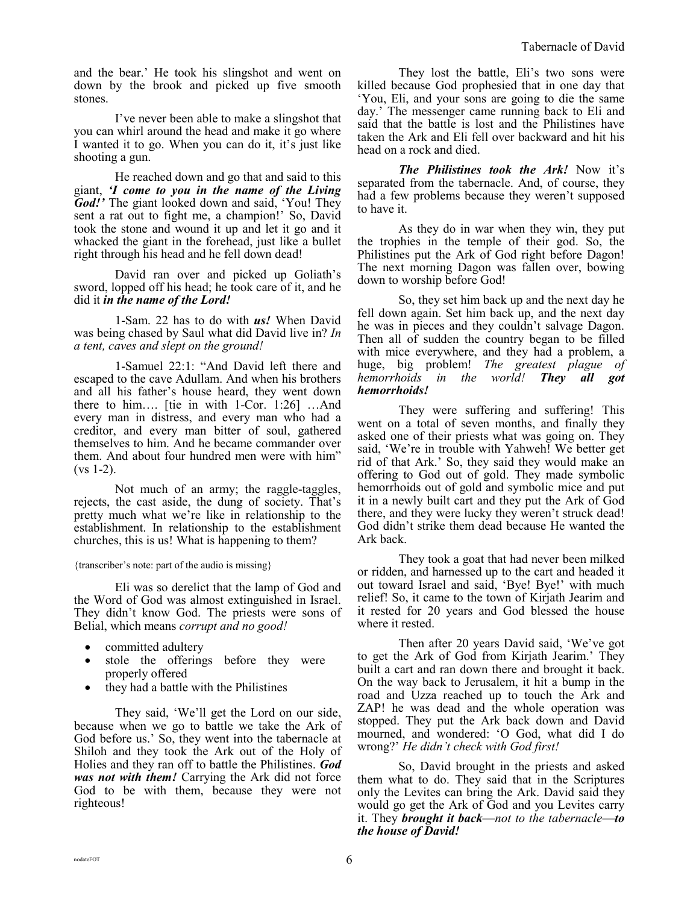and the bear.' He took his slingshot and went on down by the brook and picked up five smooth stones.

I've never been able to make a slingshot that you can whirl around the head and make it go where I wanted it to go. When you can do it, it's just like shooting a gun.

He reached down and go that and said to this giant, *'I come to you in the name of the Living God!'* The giant looked down and said, 'You! They sent a rat out to fight me, a champion!' So, David took the stone and wound it up and let it go and it whacked the giant in the forehead, just like a bullet right through his head and he fell down dead!

David ran over and picked up Goliath's sword, lopped off his head; he took care of it, and he did it *in the name of the Lord!*

1-Sam. 22 has to do with *us!* When David was being chased by Saul what did David live in? *In a tent, caves and slept on the ground!*

1-Samuel 22:1: "And David left there and escaped to the cave Adullam. And when his brothers and all his father's house heard, they went down there to him…. [tie in with 1-Cor. 1:26] …And every man in distress, and every man who had a creditor, and every man bitter of soul, gathered themselves to him. And he became commander over them. And about four hundred men were with him"  $(vs 1-2)$ .

Not much of an army; the raggle-taggles, rejects, the cast aside, the dung of society. That's pretty much what we're like in relationship to the establishment. In relationship to the establishment churches, this is us! What is happening to them?

{transcriber's note: part of the audio is missing}

Eli was so derelict that the lamp of God and the Word of God was almost extinguished in Israel. They didn't know God. The priests were sons of Belial, which means *corrupt and no good!*

- committed adultery
- stole the offerings before they were properly offered
- they had a battle with the Philistines

They said, 'We'll get the Lord on our side, because when we go to battle we take the Ark of God before us.' So, they went into the tabernacle at Shiloh and they took the Ark out of the Holy of Holies and they ran off to battle the Philistines. *God was not with them!* Carrying the Ark did not force God to be with them, because they were not righteous!

They lost the battle, Eli's two sons were killed because God prophesied that in one day that 'You, Eli, and your sons are going to die the same day.' The messenger came running back to Eli and said that the battle is lost and the Philistines have taken the Ark and Eli fell over backward and hit his head on a rock and died.

*The Philistines took the Ark!* Now it's separated from the tabernacle. And, of course, they had a few problems because they weren't supposed to have it.

As they do in war when they win, they put the trophies in the temple of their god. So, the Philistines put the Ark of God right before Dagon! The next morning Dagon was fallen over, bowing down to worship before God!

So, they set him back up and the next day he fell down again. Set him back up, and the next day he was in pieces and they couldn't salvage Dagon. Then all of sudden the country began to be filled with mice everywhere, and they had a problem, a huge, big problem! *The greatest plague of hemorrhoids in the world! They all got hemorrhoids!* 

They were suffering and suffering! This went on a total of seven months, and finally they asked one of their priests what was going on. They said, 'We're in trouble with Yahweh! We better get rid of that Ark.' So, they said they would make an offering to God out of gold. They made symbolic hemorrhoids out of gold and symbolic mice and put it in a newly built cart and they put the Ark of God there, and they were lucky they weren't struck dead! God didn't strike them dead because He wanted the Ark back.

They took a goat that had never been milked or ridden, and harnessed up to the cart and headed it out toward Israel and said, 'Bye! Bye!' with much relief! So, it came to the town of Kirjath Jearim and it rested for 20 years and God blessed the house where it rested.

Then after 20 years David said, 'We've got to get the Ark of God from Kirjath Jearim.' They built a cart and ran down there and brought it back. On the way back to Jerusalem, it hit a bump in the road and Uzza reached up to touch the Ark and ZAP! he was dead and the whole operation was stopped. They put the Ark back down and David mourned, and wondered: 'O God, what did I do wrong?' *He didn't check with God first!*

So, David brought in the priests and asked them what to do. They said that in the Scriptures only the Levites can bring the Ark. David said they would go get the Ark of God and you Levites carry it. They *brought it back*—*not to the tabernacle*—*to the house of David!*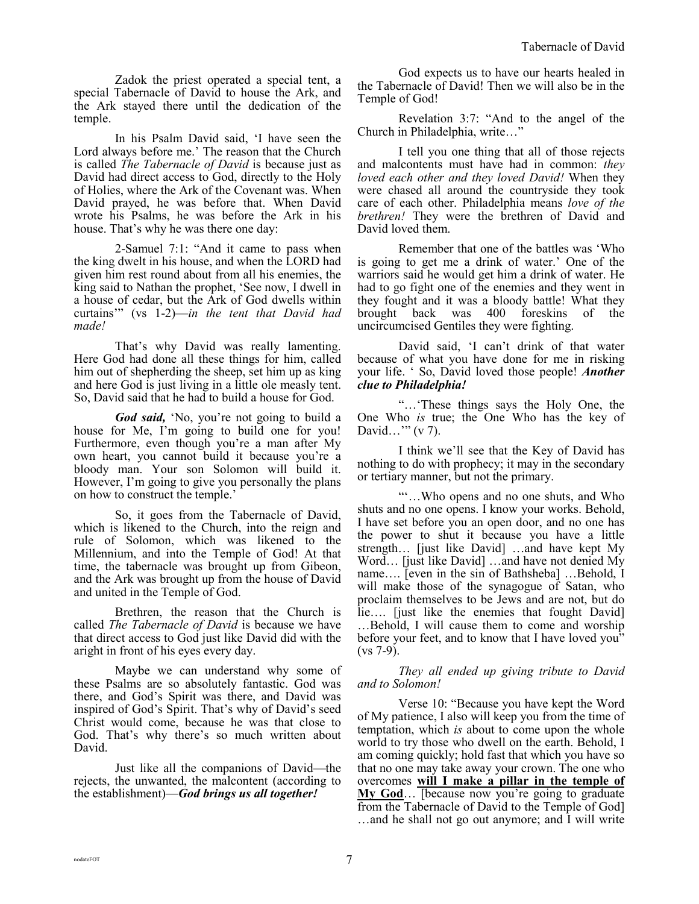Zadok the priest operated a special tent, a special Tabernacle of David to house the Ark, and the Ark stayed there until the dedication of the temple.

In his Psalm David said, 'I have seen the Lord always before me.' The reason that the Church is called *The Tabernacle of David* is because just as David had direct access to God, directly to the Holy of Holies, where the Ark of the Covenant was. When David prayed, he was before that. When David wrote his Psalms, he was before the Ark in his house. That's why he was there one day:

2-Samuel 7:1: "And it came to pass when the king dwelt in his house, and when the LORD had given him rest round about from all his enemies, the king said to Nathan the prophet, 'See now, I dwell in a house of cedar, but the Ark of God dwells within curtains'" (vs 1-2)—*in the tent that David had made!*

That's why David was really lamenting. Here God had done all these things for him, called him out of shepherding the sheep, set him up as king and here God is just living in a little ole measly tent. So, David said that he had to build a house for God.

*God said,* 'No, you're not going to build a house for Me, I'm going to build one for you! Furthermore, even though you're a man after My own heart, you cannot build it because you're a bloody man. Your son Solomon will build it. However, I'm going to give you personally the plans on how to construct the temple.'

So, it goes from the Tabernacle of David, which is likened to the Church, into the reign and rule of Solomon, which was likened to the Millennium, and into the Temple of God! At that time, the tabernacle was brought up from Gibeon, and the Ark was brought up from the house of David and united in the Temple of God.

Brethren, the reason that the Church is called *The Tabernacle of David* is because we have that direct access to God just like David did with the aright in front of his eyes every day.

Maybe we can understand why some of these Psalms are so absolutely fantastic. God was there, and God's Spirit was there, and David was inspired of God's Spirit. That's why of David's seed Christ would come, because he was that close to God. That's why there's so much written about David.

Just like all the companions of David—the rejects, the unwanted, the malcontent (according to the establishment)—*God brings us all together!*

God expects us to have our hearts healed in the Tabernacle of David! Then we will also be in the Temple of God!

Revelation 3:7: "And to the angel of the Church in Philadelphia, write…"

I tell you one thing that all of those rejects and malcontents must have had in common: *they loved each other and they loved David!* When they were chased all around the countryside they took care of each other. Philadelphia means *love of the brethren!* They were the brethren of David and David loved them.

Remember that one of the battles was 'Who is going to get me a drink of water.' One of the warriors said he would get him a drink of water. He had to go fight one of the enemies and they went in they fought and it was a bloody battle! What they brought back was 400 foreskins of the uncircumcised Gentiles they were fighting.

David said, 'I can't drink of that water because of what you have done for me in risking your life. ' So, David loved those people! *Another clue to Philadelphia!*

"…'These things says the Holy One, the One Who *is* true; the One Who has the key of David…'" (v 7).

I think we'll see that the Key of David has nothing to do with prophecy; it may in the secondary or tertiary manner, but not the primary.

"'…Who opens and no one shuts, and Who shuts and no one opens. I know your works. Behold, I have set before you an open door, and no one has the power to shut it because you have a little strength… [just like David] …and have kept My Word… [just like David] …and have not denied My name…. [even in the sin of Bathsheba] …Behold, I will make those of the synagogue of Satan, who proclaim themselves to be Jews and are not, but do lie…. [just like the enemies that fought David] …Behold, I will cause them to come and worship before your feet, and to know that I have loved you" (vs 7-9).

*They all ended up giving tribute to David and to Solomon!* 

Verse 10: "Because you have kept the Word of My patience, I also will keep you from the time of temptation, which *is* about to come upon the whole world to try those who dwell on the earth. Behold, I am coming quickly; hold fast that which you have so that no one may take away your crown. The one who overcomes **will I make a pillar in the temple of My God**… [because now you're going to graduate from the Tabernacle of David to the Temple of God] …and he shall not go out anymore; and I will write